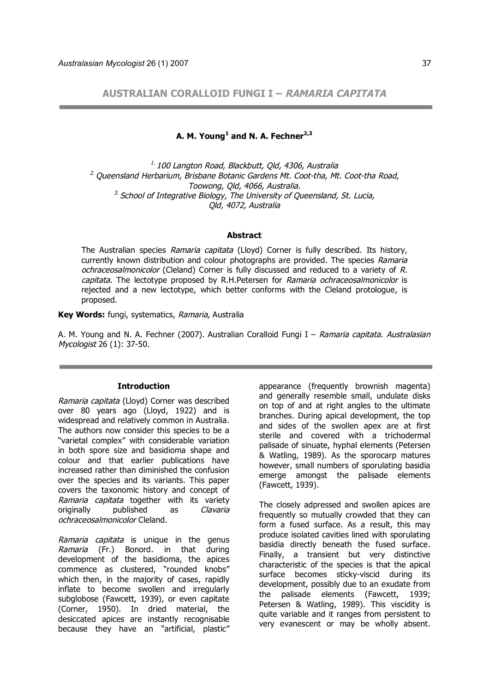**AUSTRALIAN CORALLOID FUNGI I – RAMARIA CAPITATA**

**A. M. Young<sup>1</sup> and N. A. Fechner2,3**

 $1.100$  Langton Road, Blackbutt, Old, 4306, Australia  $2$ . Oueensland Herbarium, Brisbane Botanic Gardens Mt. Coot-tha, Mt. Coot-tha Road, Toowong, Qld, 4066, Australia.  $3.$  School of Integrative Biology, The University of Queensland, St. Lucia, Qld, 4072, Australia

### **Abstract**

The Australian species Ramaria capitata (Lloyd) Corner is fully described. Its history, currently known distribution and colour photographs are provided. The species Ramaria ochraceosalmonicolor (Cleland) Corner is fully discussed and reduced to a variety of R. capitata. The lectotype proposed by R.H.Petersen for Ramaria ochraceosalmonicolor is rejected and a new lectotype, which better conforms with the Cleland protologue, is proposed.

**Key Words:** fungi, systematics, Ramaria, Australia

A. M. Young and N. A. Fechner (2007). Australian Coralloid Fungi I – Ramaria capitata. Australasian Mycologist 26 (1): 37-50.

## **Introduction**

Ramaria capitata (Lloyd) Corner was described over 80 years ago (Lloyd, 1922) and is widespread and relatively common in Australia. The authors now consider this species to be a "varietal complex" with considerable variation in both spore size and basidioma shape and colour and that earlier publications have increased rather than diminished the confusion over the species and its variants. This paper covers the taxonomic history and concept of Ramaria capitata together with its variety originally published as Clavaria ochraceosalmonicolor Cleland.

Ramaria capitata is unique in the genus Ramaria (Fr.) Bonord. in that during development of the basidioma, the apices commence as clustered, "rounded knobs" which then, in the majority of cases, rapidly inflate to become swollen and irregularly subglobose (Fawcett, 1939), or even capitate (Corner, 1950). In dried material, the desiccated apices are instantly recognisable because they have an "artificial, plastic"

appearance (frequently brownish magenta) and generally resemble small, undulate disks on top of and at right angles to the ultimate branches. During apical development, the top and sides of the swollen apex are at first sterile and covered with a trichodermal palisade of sinuate, hyphal elements (Petersen & Watling, 1989). As the sporocarp matures however, small numbers of sporulating basidia emerge amongst the palisade elements (Fawcett, 1939).

The closely adpressed and swollen apices are frequently so mutually crowded that they can form a fused surface. As a result, this may produce isolated cavities lined with sporulating basidia directly beneath the fused surface. Finally, a transient but very distinctive characteristic of the species is that the apical surface becomes sticky-viscid during its development, possibly due to an exudate from the palisade elements (Fawcett, 1939; Petersen & Watling, 1989). This viscidity is quite variable and it ranges from persistent to very evanescent or may be wholly absent.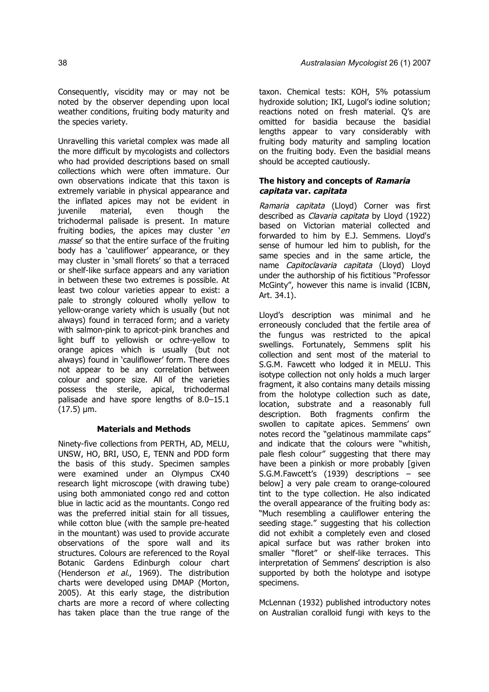Consequently, viscidity may or may not be noted by the observer depending upon local weather conditions, fruiting body maturity and the species variety.

Unravelling this varietal complex was made all the more difficult by mycologists and collectors who had provided descriptions based on small collections which were often immature. Our own observations indicate that this taxon is extremely variable in physical appearance and the inflated apices may not be evident in<br>iuvenile material, even though the juvenile material, even though the trichodermal palisade is present. In mature fruiting bodies, the apices may cluster 'en masse' so that the entire surface of the fruiting body has a 'cauliflower' appearance, or they may cluster in 'small florets' so that a terraced or shelf-like surface appears and any variation in between these two extremes is possible. At least two colour varieties appear to exist: a pale to strongly coloured wholly yellow to yellow-orange variety which is usually (but not always) found in terraced form; and a variety with salmon-pink to apricot-pink branches and light buff to yellowish or ochre-yellow to orange apices which is usually (but not always) found in 'cauliflower' form. There does not appear to be any correlation between colour and spore size. All of the varieties possess the sterile, apical, trichodermal palisade and have spore lengths of 8.0–15.1  $(17.5) \mu m$ .

### **Materials and Methods**

Ninety-five collections from PERTH, AD, MELU, UNSW, HO, BRI, USO, E, TENN and PDD form the basis of this study. Specimen samples were examined under an Olympus CX40 research light microscope (with drawing tube) using both ammoniated congo red and cotton blue in lactic acid as the mountants. Congo red was the preferred initial stain for all tissues, while cotton blue (with the sample pre-heated in the mountant) was used to provide accurate observations of the spore wall and its structures. Colours are referenced to the Royal Botanic Gardens Edinburgh colour chart (Henderson et al., 1969). The distribution charts were developed using DMAP (Morton, 2005). At this early stage, the distribution charts are more a record of where collecting has taken place than the true range of the

taxon. Chemical tests: KOH, 5% potassium hydroxide solution; IKI, Lugol's iodine solution; reactions noted on fresh material. Q's are omitted for basidia because the basidial lengths appear to vary considerably with fruiting body maturity and sampling location on the fruiting body. Even the basidial means should be accepted cautiously.

# **The history and concepts of Ramaria capitata var. capitata**

Ramaria capitata (Lloyd) Corner was first described as *Clavaria capitata* by Lloyd (1922) based on Victorian material collected and forwarded to him by E.J. Semmens. Lloyd's sense of humour led him to publish, for the same species and in the same article, the name Capitoclavaria capitata (Lloyd) Lloyd under the authorship of his fictitious "Professor McGinty", however this name is invalid (ICBN, Art. 34.1).

Lloyd's description was minimal and he erroneously concluded that the fertile area of the fungus was restricted to the apical swellings. Fortunately, Semmens split his collection and sent most of the material to S.G.M. Fawcett who lodged it in MELU. This isotype collection not only holds a much larger fragment, it also contains many details missing from the holotype collection such as date, location, substrate and a reasonably full description. Both fragments confirm the swollen to capitate apices. Semmens' own notes record the "gelatinous mammilate caps" and indicate that the colours were "whitish, pale flesh colour" suggesting that there may have been a pinkish or more probably [given S.G.M.Fawcett's (1939) descriptions – see below] a very pale cream to orange-coloured tint to the type collection. He also indicated the overall appearance of the fruiting body as: "Much resembling a cauliflower entering the seeding stage." suggesting that his collection did not exhibit a completely even and closed apical surface but was rather broken into smaller "floret" or shelf-like terraces. This interpretation of Semmens' description is also supported by both the holotype and isotype specimens.

McLennan (1932) published introductory notes on Australian coralloid fungi with keys to the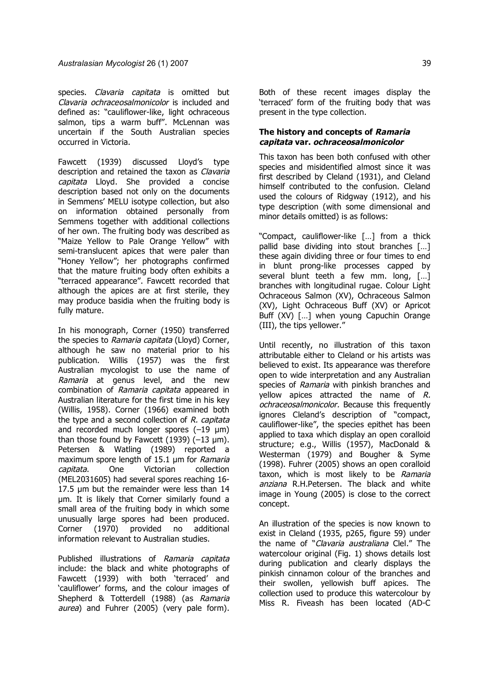species. Clavaria capitata is omitted but Clavaria ochraceosalmonicolor is included and defined as: "cauliflower-like, light ochraceous salmon, tips a warm buff". McLennan was uncertain if the South Australian species occurred in Victoria.

Fawcett (1939) discussed Lloyd's type description and retained the taxon as Clavaria capitata Lloyd. She provided a concise description based not only on the documents in Semmens' MELU isotype collection, but also on information obtained personally from Semmens together with additional collections of her own. The fruiting body was described as "Maize Yellow to Pale Orange Yellow" with semi-translucent apices that were paler than "Honey Yellow"; her photographs confirmed that the mature fruiting body often exhibits a "terraced appearance". Fawcett recorded that although the apices are at first sterile, they may produce basidia when the fruiting body is fully mature.

In his monograph, Corner (1950) transferred the species to Ramaria capitata (Lloyd) Corner, although he saw no material prior to his publication. Willis (1957) was the first Australian mycologist to use the name of Ramaria at genus level, and the new combination of Ramaria capitata appeared in Australian literature for the first time in his key (Willis, 1958). Corner (1966) examined both the type and a second collection of *, capitata* and recorded much longer spores  $(-19 \text{ }\mu\text{m})$ than those found by Fawcett  $(1939)$   $(-13 \text{ µm})$ . Petersen & Watling (1989) reported a maximum spore length of 15.1 um for Ramaria capitata. One Victorian collection (MEL2031605) had several spores reaching 16- 17.5 µm but the remainder were less than 14 µm. It is likely that Corner similarly found a small area of the fruiting body in which some unusually large spores had been produced. Corner (1970) provided no additional information relevant to Australian studies.

Published illustrations of Ramaria capitata include: the black and white photographs of Fawcett (1939) with both 'terraced' and 'cauliflower' forms, and the colour images of Shepherd & Totterdell (1988) (as Ramaria aurea) and Fuhrer (2005) (very pale form).

Both of these recent images display the 'terraced' form of the fruiting body that was present in the type collection.

# **The history and concepts of Ramaria capitata var. ochraceosalmonicolor**

This taxon has been both confused with other species and misidentified almost since it was first described by Cleland (1931), and Cleland himself contributed to the confusion. Cleland used the colours of Ridgway (1912), and his type description (with some dimensional and minor details omitted) is as follows:

"Compact, cauliflower-like […] from a thick pallid base dividing into stout branches […] these again dividing three or four times to end in blunt prong-like processes capped by several blunt teeth a few mm. long, [...] branches with longitudinal rugae. Colour Light Ochraceous Salmon (XV), Ochraceous Salmon (XV), Light Ochraceous Buff (XV) or Apricot Buff (XV) […] when young Capuchin Orange (III), the tips yellower."

Until recently, no illustration of this taxon attributable either to Cleland or his artists was believed to exist. Its appearance was therefore open to wide interpretation and any Australian species of Ramaria with pinkish branches and vellow apices attracted the name of  $R$ . ochraceosalmonicolor. Because this frequently ignores Cleland's description of "compact, cauliflower-like", the species epithet has been applied to taxa which display an open coralloid structure; e.g., Willis (1957), MacDonald & Westerman (1979) and Bougher & Syme (1998). Fuhrer (2005) shows an open coralloid taxon, which is most likely to be Ramaria anziana R.H.Petersen. The black and white image in Young (2005) is close to the correct concept.

An illustration of the species is now known to exist in Cleland (1935, p265, figure 59) under the name of "Clavaria australiana Clel." The watercolour original (Fig. 1) shows details lost during publication and clearly displays the pinkish cinnamon colour of the branches and their swollen, yellowish buff apices. The collection used to produce this watercolour by Miss R. Fiveash has been located (AD-C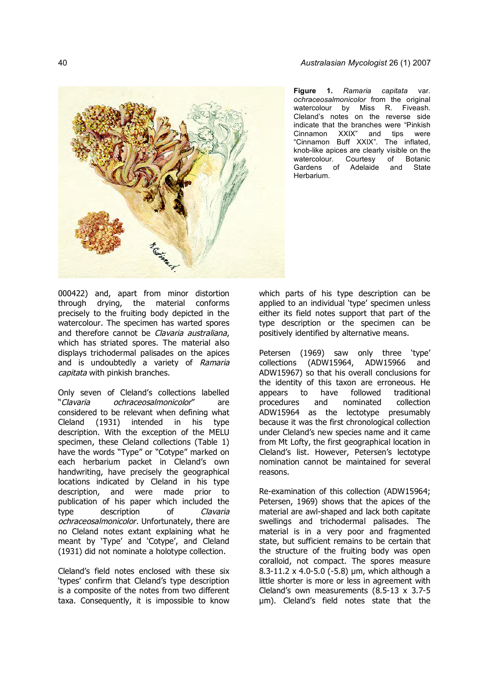

**Figure 1.** *Ramaria capitata* var. *ochraceosalmonicolor* from the original watercolour by Miss R. Fiveash. Cleland's notes on the reverse side indicate that the branches were "Pinkish Cinnamon XXIX" and tips were "Cinnamon Buff XXIX". The inflated, knob-like apices are clearly visible on the watercolour. Courtesy of Botanic Gardens of Adelaide and State Herbarium.

000422) and, apart from minor distortion through drying, the material conforms precisely to the fruiting body depicted in the watercolour. The specimen has warted spores and therefore cannot be Clavaria australiana, which has striated spores. The material also displays trichodermal palisades on the apices and is undoubtedly a variety of Ramaria capitata with pinkish branches.

Only seven of Cleland's collections labelled "Clavaria ochraceosalmonicolor" are considered to be relevant when defining what Cleland (1931) intended in his type description. With the exception of the MELU specimen, these Cleland collections (Table 1) have the words "Type" or "Cotype" marked on each herbarium packet in Cleland's own handwriting, have precisely the geographical locations indicated by Cleland in his type description, and were made prior to publication of his paper which included the type description of Clavaria ochraceosalmonicolor. Unfortunately, there are no Cleland notes extant explaining what he meant by 'Type' and 'Cotype', and Cleland (1931) did not nominate a holotype collection.

Cleland's field notes enclosed with these six 'types' confirm that Cleland's type description is a composite of the notes from two different taxa. Consequently, it is impossible to know which parts of his type description can be applied to an individual 'type' specimen unless either its field notes support that part of the type description or the specimen can be positively identified by alternative means.

Petersen (1969) saw only three 'type' collections (ADW15964, ADW15966 and ADW15967) so that his overall conclusions for the identity of this taxon are erroneous. He appears to have followed traditional<br>procedures and nominated collection procedures and nominated ADW15964 as the lectotype presumably because it was the first chronological collection under Cleland's new species name and it came from Mt Lofty, the first geographical location in Cleland's list. However, Petersen's lectotype nomination cannot be maintained for several reasons.

Re-examination of this collection (ADW15964; Petersen, 1969) shows that the apices of the material are awl-shaped and lack both capitate swellings and trichodermal palisades. The material is in a very poor and fragmented state, but sufficient remains to be certain that the structure of the fruiting body was open coralloid, not compact. The spores measure 8.3-11.2 x 4.0-5.0 (-5.8) µm, which although a little shorter is more or less in agreement with Cleland's own measurements (8.5-13 x 3.7-5 µm). Cleland's field notes state that the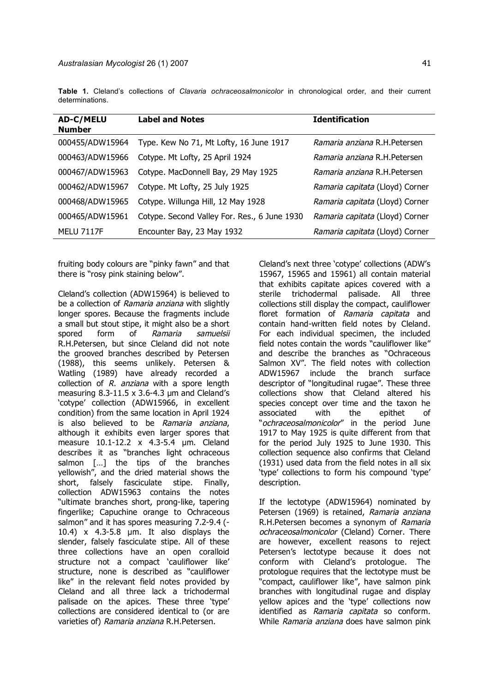**Table 1.** Cleland's collections of *Clavaria ochraceosalmonicolor* in chronological order, and their current determinations.

| <b>AD-C/MELU</b><br><b>Number</b> | <b>Label and Notes</b>                       | <b>Identification</b>           |
|-----------------------------------|----------------------------------------------|---------------------------------|
| 000455/ADW15964                   | Type. Kew No 71, Mt Lofty, 16 June 1917      | Ramaria anziana R.H.Petersen    |
| 000463/ADW15966                   | Cotype. Mt Lofty, 25 April 1924              | Ramaria anziana R.H.Petersen    |
| 000467/ADW15963                   | Cotype. MacDonnell Bay, 29 May 1925          | Ramaria anziana R.H.Petersen    |
| 000462/ADW15967                   | Cotype. Mt Lofty, 25 July 1925               | Ramaria capitata (Lloyd) Corner |
| 000468/ADW15965                   | Cotype. Willunga Hill, 12 May 1928           | Ramaria capitata (Lloyd) Corner |
| 000465/ADW15961                   | Cotype. Second Valley For. Res., 6 June 1930 | Ramaria capitata (Lloyd) Corner |
| <b>MELU 7117F</b>                 | Encounter Bay, 23 May 1932                   | Ramaria capitata (Lloyd) Corner |

fruiting body colours are "pinky fawn" and that there is "rosy pink staining below".

Cleland's collection (ADW15964) is believed to be a collection of Ramaria anziana with slightly longer spores. Because the fragments include a small but stout stipe, it might also be a short spored form of Ramaria samuelsii R.H.Petersen, but since Cleland did not note the grooved branches described by Petersen (1988), this seems unlikely. Petersen & Watling (1989) have already recorded a collection of R, anziana with a spore length measuring 8.3-11.5 x 3.6-4.3 µm and Cleland's 'cotype' collection (ADW15966, in excellent condition) from the same location in April 1924 is also believed to be Ramaria anziana, although it exhibits even larger spores that measure 10.1-12.2 x 4.3-5.4 µm. Cleland describes it as "branches light ochraceous salmon [...] the tips of the branches yellowish", and the dried material shows the short, falsely fasciculate stipe. Finally, collection ADW15963 contains the notes "ultimate branches short, prong-like, tapering fingerlike; Capuchine orange to Ochraceous salmon" and it has spores measuring 7.2-9.4 (- 10.4) x 4.3-5.8 µm. It also displays the slender, falsely fasciculate stipe. All of these three collections have an open coralloid structure not a compact 'cauliflower like' structure, none is described as "cauliflower like" in the relevant field notes provided by Cleland and all three lack a trichodermal palisade on the apices. These three 'type' collections are considered identical to (or are varieties of) Ramaria anziana R.H.Petersen.

Cleland's next three 'cotype' collections (ADW's 15967, 15965 and 15961) all contain material that exhibits capitate apices covered with a sterile trichodermal palisade. All three collections still display the compact, cauliflower floret formation of Ramaria capitata and contain hand-written field notes by Cleland. For each individual specimen, the included field notes contain the words "cauliflower like" and describe the branches as "Ochraceous Salmon XV". The field notes with collection ADW15967 include the branch surface descriptor of "longitudinal rugae". These three collections show that Cleland altered his species concept over time and the taxon he associated with the epithet of "ochraceosalmonicolor" in the period June 1917 to May 1925 is quite different from that for the period July 1925 to June 1930. This collection sequence also confirms that Cleland (1931) used data from the field notes in all six 'type' collections to form his compound 'type' description.

If the lectotype (ADW15964) nominated by Petersen (1969) is retained, Ramaria anziana R.H.Petersen becomes a synonym of Ramaria ochraceosalmonicolor (Cleland) Corner. There are however, excellent reasons to reject Petersen's lectotype because it does not conform with Cleland's protologue. The protologue requires that the lectotype must be "compact, cauliflower like", have salmon pink branches with longitudinal rugae and display yellow apices and the 'type' collections now identified as Ramaria capitata so conform. While Ramaria anziana does have salmon pink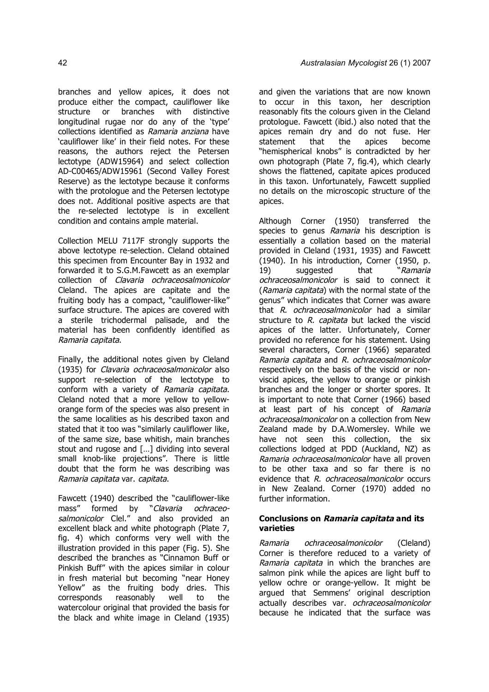branches and yellow apices, it does not produce either the compact, cauliflower like structure or branches with distinctive longitudinal rugae nor do any of the 'type' collections identified as Ramaria anziana have 'cauliflower like' in their field notes. For these reasons, the authors reject the Petersen lectotype (ADW15964) and select collection AD-C00465/ADW15961 (Second Valley Forest Reserve) as the lectotype because it conforms with the protologue and the Petersen lectotype does not. Additional positive aspects are that the re-selected lectotype is in excellent condition and contains ample material.

Collection MELU 7117F strongly supports the above lectotype re-selection. Cleland obtained this specimen from Encounter Bay in 1932 and forwarded it to S.G.M.Fawcett as an exemplar collection of Clavaria ochraceosalmonicolor Cleland. The apices are capitate and the fruiting body has a compact, "cauliflower-like" surface structure. The apices are covered with a sterile trichodermal palisade, and the material has been confidently identified as Ramaria capitata.

Finally, the additional notes given by Cleland (1935) for Clavaria ochraceosalmonicolor also support re-selection of the lectotype to conform with a variety of Ramaria capitata. Cleland noted that a more yellow to yelloworange form of the species was also present in the same localities as his described taxon and stated that it too was "similarly cauliflower like, of the same size, base whitish, main branches stout and rugose and […] dividing into several small knob-like projections". There is little doubt that the form he was describing was Ramaria capitata var. capitata.

Fawcett (1940) described the "cauliflower-like mass" formed by "Clavaria ochraceosalmonicolor Clel." and also provided an excellent black and white photograph (Plate 7, fig. 4) which conforms very well with the illustration provided in this paper (Fig. 5). She described the branches as "Cinnamon Buff or Pinkish Buff" with the apices similar in colour in fresh material but becoming "near Honey Yellow" as the fruiting body dries. This corresponds reasonably well to the watercolour original that provided the basis for the black and white image in Cleland (1935)

and given the variations that are now known to occur in this taxon, her description reasonably fits the colours given in the Cleland protologue. Fawcett (ibid.) also noted that the apices remain dry and do not fuse. Her statement that the apices become "hemispherical knobs" is contradicted by her own photograph (Plate 7, fig.4), which clearly shows the flattened, capitate apices produced in this taxon. Unfortunately, Fawcett supplied no details on the microscopic structure of the apices.

Although Corner (1950) transferred the species to genus *Ramaria* his description is essentially a collation based on the material provided in Cleland (1931, 1935) and Fawcett (1940). In his introduction, Corner (1950, p. 19) suggested that "Ramaria ochraceosalmonicolor is said to connect it (Ramaria capitata) with the normal state of the genus" which indicates that Corner was aware that R. ochraceosalmonicolor had a similar structure to R. capitata but lacked the viscid apices of the latter. Unfortunately, Corner provided no reference for his statement. Using several characters, Corner (1966) separated Ramaria capitata and R. ochraceosalmonicolor respectively on the basis of the viscid or nonviscid apices, the yellow to orange or pinkish branches and the longer or shorter spores. It is important to note that Corner (1966) based at least part of his concept of Ramaria ochraceosalmonicolor on a collection from New Zealand made by D.A.Womersley. While we have not seen this collection, the six collections lodged at PDD (Auckland, NZ) as Ramaria ochraceosalmonicolor have all proven to be other taxa and so far there is no evidence that R. ochraceosalmonicolor occurs in New Zealand. Corner (1970) added no further information.

## **Conclusions on Ramaria capitata and its varieties**

Ramaria ochraceosalmonicolor (Cleland) Corner is therefore reduced to a variety of Ramaria capitata in which the branches are salmon pink while the apices are light buff to yellow ochre or orange-yellow. It might be argued that Semmens' original description actually describes var. *ochraceosalmonicolor* because he indicated that the surface was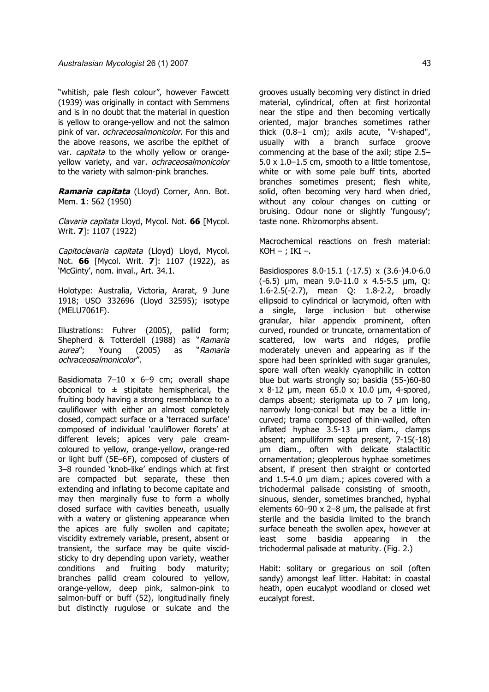"whitish, pale flesh colour", however Fawcett (1939) was originally in contact with Semmens and is in no doubt that the material in question is yellow to orange-yellow and not the salmon pink of var. *ochraceosalmonicolor*. For this and the above reasons, we ascribe the epithet of var. *capitata* to the wholly yellow or orangeyellow variety, and var. ochraceosalmonicolor to the variety with salmon-pink branches.

**Ramaria capitata** (Lloyd) Corner, Ann. Bot. Mem. **1**: 562 (1950)

Clavaria capitata Lloyd, Mycol. Not. **66** [Mycol. Writ. **7**]: 1107 (1922)

Capitoclavaria capitata (Lloyd) Lloyd, Mycol. Not. **66** [Mycol. Writ. **7**]: 1107 (1922), as 'McGinty', nom. inval., Art. 34.1.

Holotype: Australia, Victoria, Ararat, 9 June 1918; USO 332696 (Lloyd 32595); isotype (MELU7061F).

Illustrations: Fuhrer (2005), pallid form; Shepherd & Totterdell (1988) as "Ramaria aurea"; Young (2005) as "Ramaria ochraceosalmonicolor".

Basidiomata 7–10 x 6–9 cm; overall shape obconical to  $\pm$  stipitate hemispherical, the fruiting body having a strong resemblance to a cauliflower with either an almost completely closed, compact surface or a 'terraced surface' composed of individual 'cauliflower florets' at different levels; apices very pale creamcoloured to yellow, orange-yellow, orange-red or light buff (5E–6F), composed of clusters of 3–8 rounded 'knob-like' endings which at first are compacted but separate, these then extending and inflating to become capitate and may then marginally fuse to form a wholly closed surface with cavities beneath, usually with a watery or glistening appearance when the apices are fully swollen and capitate; viscidity extremely variable, present, absent or transient, the surface may be quite viscidsticky to dry depending upon variety, weather conditions and fruiting body maturity; branches pallid cream coloured to yellow, orange-yellow, deep pink, salmon-pink to salmon-buff or buff (52), longitudinally finely but distinctly rugulose or sulcate and the

grooves usually becoming very distinct in dried material, cylindrical, often at first horizontal near the stipe and then becoming vertically oriented, major branches sometimes rather thick (0.8–1 cm); axils acute, "V-shaped", usually with a branch surface groove commencing at the base of the axil; stipe 2.5– 5.0 x 1.0–1.5 cm, smooth to a little tomentose, white or with some pale buff tints, aborted branches sometimes present; flesh white, solid, often becoming very hard when dried, without any colour changes on cutting or bruising. Odour none or slightly 'fungousy'; taste none. Rhizomorphs absent.

Macrochemical reactions on fresh material:  $KOH -$ ; IKI –.

Basidiospores 8.0-15.1 (-17.5) x (3.6-)4.0-6.0 (-6.5) µm, mean 9.0-11.0 x 4.5-5.5 µm, Q: 1.6-2.5(-2.7), mean Q: 1.8-2.2, broadly ellipsoid to cylindrical or lacrymoid, often with a single, large inclusion but otherwise granular, hilar appendix prominent, often curved, rounded or truncate, ornamentation of scattered, low warts and ridges, profile moderately uneven and appearing as if the spore had been sprinkled with sugar granules, spore wall often weakly cyanophilic in cotton blue but warts strongly so; basidia (55-)60-80 x 8-12 µm, mean 65.0 x 10.0 µm, 4-spored, clamps absent; sterigmata up to 7 µm long, narrowly long-conical but may be a little incurved; trama composed of thin-walled, often inflated hyphae 3.5-13 µm diam., clamps absent; ampulliform septa present, 7-15(-18) µm diam., often with delicate stalactitic ornamentation; gleoplerous hyphae sometimes absent, if present then straight or contorted and 1.5-4.0 µm diam.; apices covered with a trichodermal palisade consisting of smooth, sinuous, slender, sometimes branched, hyphal elements 60–90 x 2–8 µm, the palisade at first sterile and the basidia limited to the branch surface beneath the swollen apex, however at least some basidia appearing in the trichodermal palisade at maturity. (Fig. 2.)

Habit: solitary or gregarious on soil (often sandy) amongst leaf litter. Habitat: in coastal heath, open eucalypt woodland or closed wet eucalypt forest.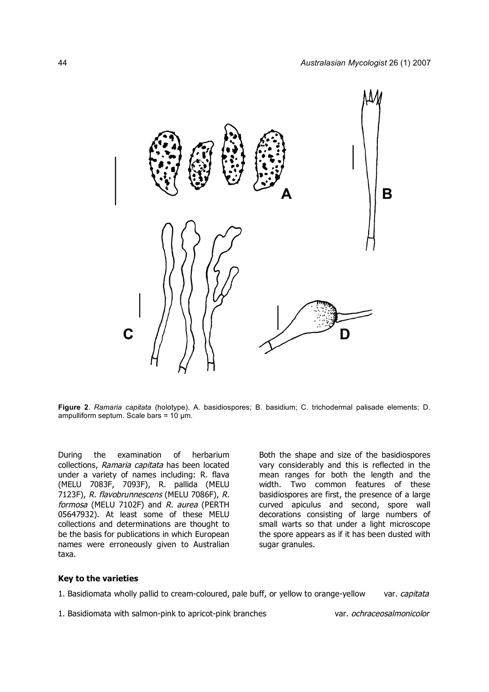

**Figure 2**. *Ramaria capitata* (holotype). A. basidiospores; B. basidium; C. trichodermal palisade elements; D. ampulliform septum. Scale bars = 10 µm.

During the examination of herbarium collections, Ramaria capitata has been located under a variety of names including: R. flava (MELU 7083F, 7093F), R. pallida (MELU 7123F), R. flavobrunnescens (MELU 7086F), R. formosa (MELU 7102F) and R. aurea (PERTH 05647932). At least some of these MELU collections and determinations are thought to be the basis for publications in which European names were erroneously given to Australian taxa.

Both the shape and size of the basidiospores vary considerably and this is reflected in the mean ranges for both the length and the width. Two common features of these basidiospores are first, the presence of a large curved apiculus and second, spore wall decorations consisting of large numbers of small warts so that under a light microscope the spore appears as if it has been dusted with sugar granules.

### **Key to the varieties**

1. Basidiomata wholly pallid to cream-coloured, pale buff, or yellow to orange-yellow var. capitata

1. Basidiomata with salmon-pink to apricot-pink branches var. ochraceosalmonicolor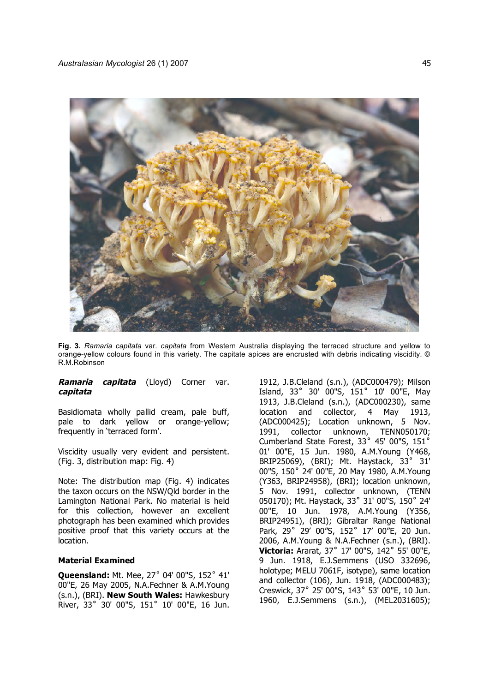

**Fig. 3.** *Ramaria capitata* var. *capitata* from Western Australia displaying the terraced structure and yellow to orange-yellow colours found in this variety. The capitate apices are encrusted with debris indicating viscidity. © R.M.Robinson

## **Ramaria capitata** (Lloyd) Corner var. **capitata**

Basidiomata wholly pallid cream, pale buff, pale to dark yellow or orange-yellow; frequently in 'terraced form'.

Viscidity usually very evident and persistent. (Fig. 3, distribution map: Fig. 4)

Note: The distribution map (Fig. 4) indicates the taxon occurs on the NSW/Qld border in the Lamington National Park. No material is held for this collection, however an excellent photograph has been examined which provides positive proof that this variety occurs at the location.

### **Material Examined**

**Queensland:** Mt. Mee, 27˚ 04' 00"S, 152˚ 41' 00"E, 26 May 2005, N.A.Fechner & A.M.Young (s.n.), (BRI). **New South Wales:** Hawkesbury River, 33˚ 30' 00"S, 151˚ 10' 00"E, 16 Jun.

1912, J.B.Cleland (s.n.), (ADC000479); Milson Island, 33˚ 30' 00"S, 151˚ 10' 00"E, May 1913, J.B.Cleland (s.n.), (ADC000230), same location and collector, 4 May 1913, (ADC000425); Location unknown, 5 Nov. 1991, collector unknown, TENN050170; Cumberland State Forest, 33˚ 45' 00"S, 151˚ 01' 00"E, 15 Jun. 1980, A.M.Young (Y468, BRIP25069), (BRI); Mt. Haystack, 33˚ 31' 00"S, 150˚ 24' 00"E, 20 May 1980, A.M.Young (Y363, BRIP24958), (BRI); location unknown, 5 Nov. 1991, collector unknown, (TENN 050170); Mt. Haystack, 33˚ 31' 00"S, 150˚ 24' 00"E, 10 Jun. 1978, A.M.Young (Y356, BRIP24951), (BRI); Gibraltar Range National Park, 29˚ 29' 00"S, 152˚ 17' 00"E, 20 Jun. 2006, A.M.Young & N.A.Fechner (s.n.), (BRI). **Victoria:** Ararat, 37˚ 17' 00"S, 142˚ 55' 00"E, 9 Jun. 1918, E.J.Semmens (USO 332696, holotype; MELU 7061F, isotype), same location and collector (106), Jun. 1918, (ADC000483); Creswick, 37˚ 25' 00"S, 143˚ 53' 00"E, 10 Jun. 1960, E.J.Semmens (s.n.), (MEL2031605);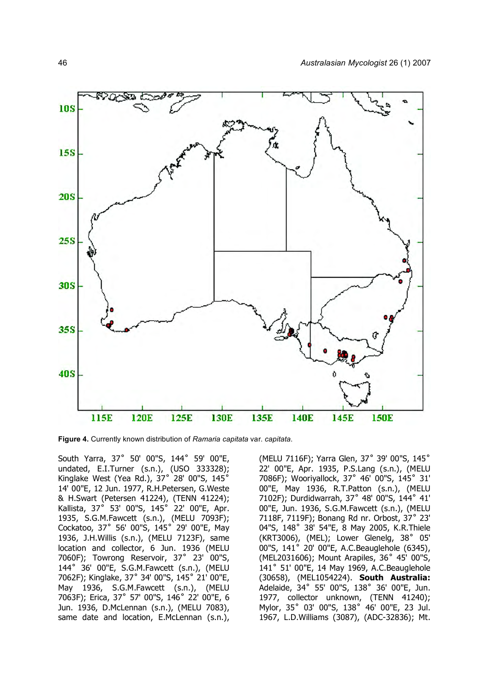

**Figure 4.** Currently known distribution of *Ramaria capitata* var. *capitata*.

South Yarra, 37˚ 50' 00"S, 144˚ 59' 00"E, undated, E.I.Turner (s.n.), (USO 333328); Kinglake West (Yea Rd.), 37˚ 28' 00"S, 145˚ 14' 00"E, 12 Jun. 1977, R.H.Petersen, G.Weste & H.Swart (Petersen 41224), (TENN 41224); Kallista, 37˚ 53' 00"S, 145˚ 22' 00"E, Apr. 1935, S.G.M.Fawcett (s.n.), (MELU 7093F); Cockatoo, 37˚ 56' 00"S, 145˚ 29' 00"E, May 1936, J.H.Willis (s.n.), (MELU 7123F), same location and collector, 6 Jun. 1936 (MELU 7060F); Towrong Reservoir, 37˚ 23' 00"S, 144˚ 36' 00"E, S.G.M.Fawcett (s.n.), (MELU 7062F); Kinglake, 37˚ 34' 00"S, 145˚ 21' 00"E, May 1936, S.G.M.Fawcett (s.n.), (MELU 7063F); Erica, 37˚ 57' 00"S, 146˚ 22' 00"E, 6 Jun. 1936, D.McLennan (s.n.), (MELU 7083), same date and location, E.McLennan (s.n.),

(MELU 7116F); Yarra Glen, 37˚ 39' 00"S, 145˚ 22' 00"E, Apr. 1935, P.S.Lang (s.n.), (MELU 7086F); Wooriyallock, 37˚ 46' 00"S, 145˚ 31' 00"E, May 1936, R.T.Patton (s.n.), (MELU 7102F); Durdidwarrah, 37˚ 48' 00"S, 144˚ 41' 00"E, Jun. 1936, S.G.M.Fawcett (s.n.), (MELU 7118F, 7119F); Bonang Rd nr. Orbost, 37˚ 23' 04"S, 148˚ 38' 54"E, 8 May 2005, K.R.Thiele (KRT3006), (MEL); Lower Glenelg, 38˚ 05' 00"S, 141˚ 20' 00"E, A.C.Beauglehole (6345), (MEL2031606); Mount Arapiles, 36˚ 45' 00"S, 141˚ 51' 00"E, 14 May 1969, A.C.Beauglehole (30658), (MEL1054224). **South Australia:** Adelaide, 34˚ 55' 00"S, 138˚ 36' 00"E, Jun. 1977, collector unknown, (TENN 41240); Mylor, 35˚ 03' 00"S, 138˚ 46' 00"E, 23 Jul. 1967, L.D.Williams (3087), (ADC-32836); Mt.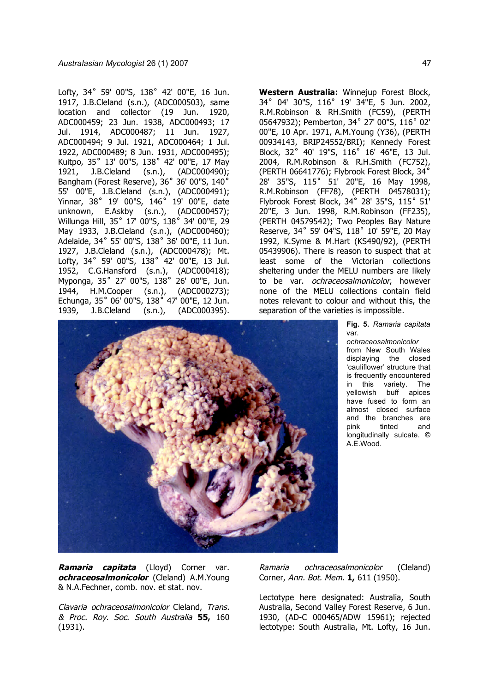Lofty, 34˚ 59' 00"S, 138˚ 42' 00"E, 16 Jun. 1917, J.B.Cleland (s.n.), (ADC000503), same location and collector (19 Jun. 1920, ADC000459; 23 Jun. 1938, ADC000493; 17 Jul. 1914, ADC000487; 11 Jun. 1927, ADC000494; 9 Jul. 1921, ADC000464; 1 Jul. 1922, ADC000489; 8 Jun. 1931, ADC000495); Kuitpo, 35˚ 13' 00"S, 138˚ 42' 00"E, 17 May 1921, J.B.Cleland (s.n.), (ADC000490); Bangham (Forest Reserve), 36˚ 36' 00"S, 140˚ 55' 00"E, J.B.Cleland (s.n.), (ADC000491); Yinnar, 38˚ 19' 00"S, 146˚ 19' 00"E, date unknown, E.Askby (s.n.), (ADC000457); Willunga Hill, 35˚ 17' 00"S, 138˚ 34' 00"E, 29 May 1933, J.B.Cleland (s.n.), (ADC000460); Adelaide, 34˚ 55' 00"S, 138˚ 36' 00"E, 11 Jun. 1927, J.B.Cleland (s.n.), (ADC000478); Mt. Lofty, 34° 59' 00"S, 138° 42' 00"E, 13 Jul. 1952, C.G.Hansford (s.n.), (ADC000418); Myponga, 35˚ 27' 00"S, 138˚ 26' 00"E, Jun. 1944, H.M.Cooper (s.n.), (ADC000273); Echunga, 35˚ 06' 00"S, 138˚ 47' 00"E, 12 Jun. 1939, J.B.Cleland (s.n.), (ADC000395).

**Western Australia:** Winnejup Forest Block, 34˚ 04' 30"S, 116˚ 19' 34"E, 5 Jun. 2002, R.M.Robinson & RH.Smith (FC59), (PERTH 05647932); Pemberton, 34˚ 27' 00"S, 116˚ 02' 00"E, 10 Apr. 1971, A.M.Young (Y36), (PERTH 00934143, BRIP24552/BRI); Kennedy Forest Block, 32˚ 40' 19"S, 116˚ 16' 46"E, 13 Jul. 2004, R.M.Robinson & R.H.Smith (FC752), (PERTH 06641776); Flybrook Forest Block, 34˚ 28' 35"S, 115˚ 51' 20"E, 16 May 1998, R.M.Robinson (FF78), (PERTH 04578031); Flybrook Forest Block, 34° 28' 35"S, 115° 51' 20"E, 3 Jun. 1998, R.M.Robinson (FF235), (PERTH 04579542); Two Peoples Bay Nature Reserve, 34˚ 59' 04"S, 118˚ 10' 59"E, 20 May 1992, K.Syme & M.Hart (KS490/92), (PERTH 05439906). There is reason to suspect that at least some of the Victorian collections sheltering under the MELU numbers are likely to be var. *ochraceosalmonicolor*, however none of the MELU collections contain field notes relevant to colour and without this, the separation of the varieties is impossible.

> **Fig. 5.** *Ramaria capitata*  var.

> *ochraceosalmonicolor*  from New South Wales displaying the closed 'cauliflower' structure that is frequently encountered in this variety. The yellowish buff apices have fused to form an almost closed surface and the branches are pink tinted and longitudinally sulcate. © A.E.Wood.



Clavaria ochraceosalmonicolor Cleland, Trans. & Proc. Roy. Soc. South Australia **55,** 160 (1931).

Ramaria ochraceosalmonicolor (Cleland) Corner, Ann. Bot. Mem. **1,** 611 (1950).

Lectotype here designated: Australia, South Australia, Second Valley Forest Reserve, 6 Jun. 1930, (AD-C 000465/ADW 15961); rejected lectotype: South Australia, Mt. Lofty, 16 Jun.

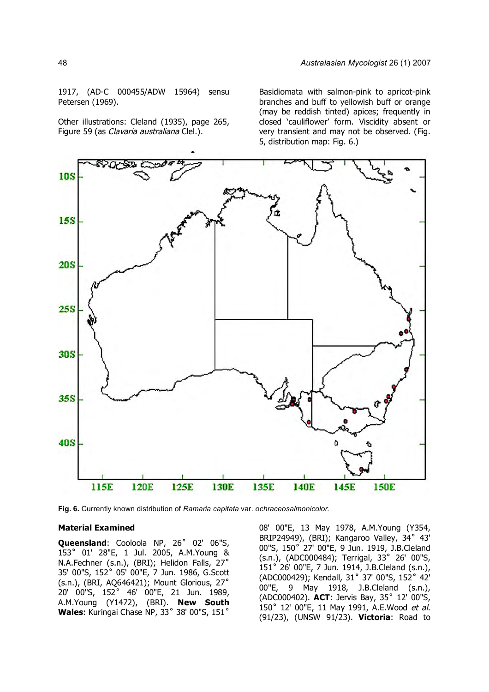1917, (AD-C 000455/ADW 15964) sensu Petersen (1969).

Other illustrations: Cleland (1935), page 265, Figure 59 (as Clavaria australiana Clel.).

Basidiomata with salmon-pink to apricot-pink branches and buff to yellowish buff or orange (may be reddish tinted) apices; frequently in closed 'cauliflower' form. Viscidity absent or very transient and may not be observed. (Fig. 5, distribution map: Fig. 6.)



**Fig. 6.** Currently known distribution of *Ramaria capitata* var. *ochraceosalmonicolor.*

## **Material Examined**

**Queensland**: Cooloola NP, 26˚ 02' 06"S, 153˚ 01' 28"E, 1 Jul. 2005, A.M.Young & N.A.Fechner (s.n.), (BRI); Helidon Falls, 27˚ 35' 00"S, 152˚ 05' 00"E, 7 Jun. 1986, G.Scott (s.n.), (BRI, AQ646421); Mount Glorious, 27˚ 20' 00"S, 152˚ 46' 00"E, 21 Jun. 1989, A.M.Young (Y1472), (BRI). **New South Wales**: Kuringai Chase NP, 33˚ 38' 00"S, 151˚

08' 00"E, 13 May 1978, A.M.Young (Y354, BRIP24949), (BRI); Kangaroo Valley, 34° 43' 00"S, 150˚ 27' 00"E, 9 Jun. 1919, J.B.Cleland (s.n.), (ADC000484); Terrigal, 33˚ 26' 00"S, 151˚ 26' 00"E, 7 Jun. 1914, J.B.Cleland (s.n.), (ADC000429); Kendall, 31˚ 37' 00"S, 152˚ 42' 00"E, 9 May 1918, J.B.Cleland (s.n.), (ADC000402). **ACT**: Jervis Bay, 35˚ 12' 00"S, 150˚ 12' 00"E, 11 May 1991, A.E.Wood et al. (91/23), (UNSW 91/23). **Victoria**: Road to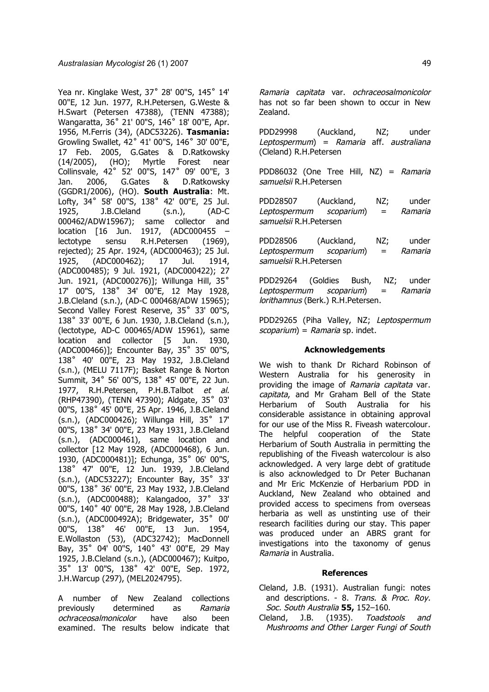Yea nr. Kinglake West, 37˚ 28' 00"S, 145˚ 14' 00"E, 12 Jun. 1977, R.H.Petersen, G.Weste & H.Swart (Petersen 47388), (TENN 47388); Wangaratta, 36˚ 21' 00"S, 146˚ 18' 00"E, Apr. 1956, M.Ferris (34), (ADC53226). **Tasmania:** Growling Swallet, 42˚ 41' 00"S, 146˚ 30' 00"E, 17 Feb. 2005, G.Gates & D.Ratkowsky (14/2005), (HO); Myrtle Forest near Collinsvale, 42˚ 52' 00"S, 147˚ 09' 00"E, 3 Jan. 2006, G.Gates & D.Ratkowsky (GGDR1/2006), (HO). **South Australia**: Mt. Lofty, 34˚ 58' 00"S, 138˚ 42' 00"E, 25 Jul. 1925, J.B.Cleland (s.n.), (AD-C 000462/ADW15967); same collector and location [16 Jun. 1917, (ADC000455 lectotype sensu R.H.Petersen (1969), rejected); 25 Apr. 1924, (ADC000463); 25 Jul. 1925, (ADC000462); 17 Jul. 1914, (ADC000485); 9 Jul. 1921, (ADC000422); 27 Jun. 1921, (ADC000276)]; Willunga Hill, 35˚ 17' 00"S, 138˚ 34' 00"E, 12 May 1928, J.B.Cleland (s.n.), (AD-C 000468/ADW 15965); Second Valley Forest Reserve, 35° 33' 00"S, 138˚ 33' 00"E, 6 Jun. 1930, J.B.Cleland (s.n.), (lectotype, AD-C 000465/ADW 15961), same location and collector [5 Jun. 1930, (ADC000466)]; Encounter Bay, 35˚ 35' 00"S, 138˚ 40' 00"E, 23 May 1932, J.B.Cleland (s.n.), (MELU 7117F); Basket Range & Norton Summit, 34˚ 56' 00"S, 138˚ 45' 00"E, 22 Jun. 1977, R.H.Petersen, P.H.B.Talbot et al. (RHP47390), (TENN 47390); Aldgate, 35˚ 03' 00"S, 138˚ 45' 00"E, 25 Apr. 1946, J.B.Cleland (s.n.), (ADC000426); Willunga Hill, 35˚ 17' 00"S, 138˚ 34' 00"E, 23 May 1931, J.B.Cleland (s.n.), (ADC000461), same location and collector [12 May 1928, (ADC000468), 6 Jun. 1930, (ADC000481)]; Echunga, 35˚ 06' 00"S, 138˚ 47' 00"E, 12 Jun. 1939, J.B.Cleland (s.n.), (ADC53227); Encounter Bay, 35˚ 33' 00"S, 138˚ 36' 00"E, 23 May 1932, J.B.Cleland (s.n.), (ADC000488); Kalangadoo, 37˚ 33' 00"S, 140˚ 40' 00"E, 28 May 1928, J.B.Cleland (s.n.), (ADC000492A); Bridgewater, 35˚ 00' 00"S, 138˚ 46' 00"E, 13 Jun. 1954, E.Wollaston (53), (ADC32742); MacDonnell Bay, 35˚ 04' 00"S, 140˚ 43' 00"E, 29 May 1925, J.B.Cleland (s.n.), (ADC000467); Kuitpo, 35˚ 13' 00"S, 138˚ 42' 00"E, Sep. 1972, J.H.Warcup (297), (MEL2024795).

A number of New Zealand collections previously determined as Ramaria ochraceosalmonicolor have also been examined. The results below indicate that

Ramaria capitata var. ochraceosalmonicolor has not so far been shown to occur in New Zealand.

PDD29998 (Auckland, NZ; under Leptospermum $\equiv$  Ramaria aff. australiana (Cleland) R.H.Petersen

PDD86032 (One Tree Hill, NZ) = Ramaria samuelsii R.H.Petersen

PDD28507 (Auckland, NZ; under Leptospermum scoparium) = Ramaria samuelsii R.H.Petersen

PDD28506 (Auckland, NZ; under Leptospermum scoparium) = Ramaria samuelsii R.H.Petersen

PDD29264 (Goldies Bush, NZ; under Leptospermum scoparium) = Ramaria lorithamnus (Berk.) R.H.Petersen.

PDD29265 (Piha Valley, NZ; Leptospermum  $scoparium$ ) = Ramaria sp. indet.

### **Acknowledgements**

We wish to thank Dr Richard Robinson of Western Australia for his generosity in providing the image of Ramaria capitata var. capitata, and Mr Graham Bell of the State Herbarium of South Australia for his considerable assistance in obtaining approval for our use of the Miss R. Fiveash watercolour. The helpful cooperation of the State Herbarium of South Australia in permitting the republishing of the Fiveash watercolour is also acknowledged. A very large debt of gratitude is also acknowledged to Dr Peter Buchanan and Mr Eric McKenzie of Herbarium PDD in Auckland, New Zealand who obtained and provided access to specimens from overseas herbaria as well as unstinting use of their research facilities during our stay. This paper was produced under an ABRS grant for investigations into the taxonomy of genus Ramaria in Australia.

### **References**

- Cleland, J.B. (1931). Australian fungi: notes and descriptions. - 8. Trans. & Proc. Roy. Soc. South Australia **55,** 152–160.
- Cleland, J.B. (1935). Toadstools and Mushrooms and Other Larger Fungi of South